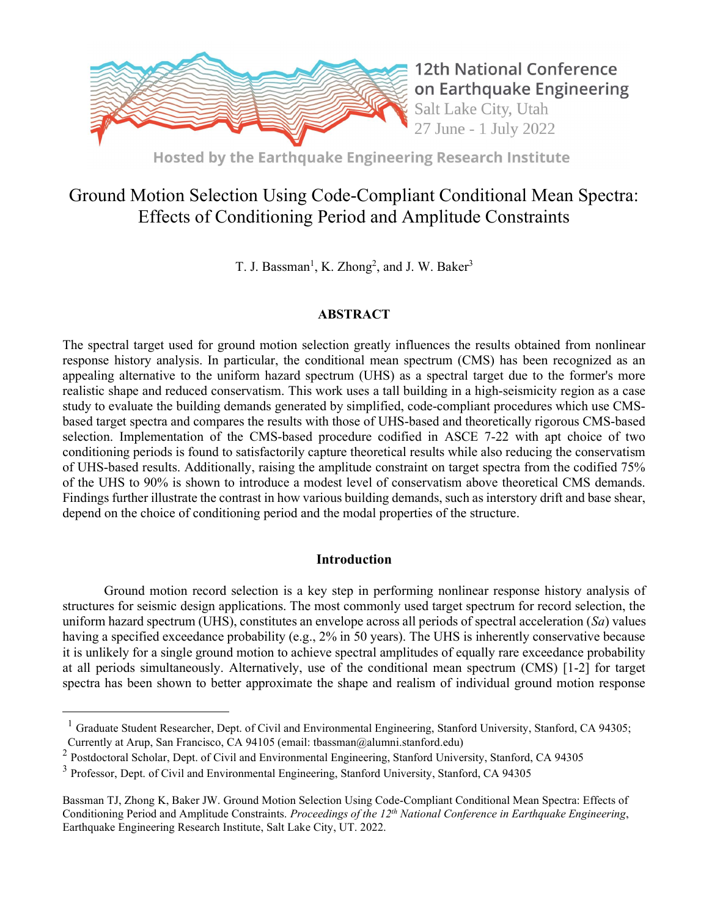

Hosted by the Earthquake Engineering Research Institute

# Ground Motion Selection Using Code-Compliant Conditional Mean Spectra: Effects of Conditioning Period and Amplitude Constraints

T. J. Bassman<sup>1</sup>, K. Zhong<sup>2</sup>, and J. W. Baker<sup>3</sup>

# **ABSTRACT**

The spectral target used for ground motion selection greatly influences the results obtained from nonlinear response history analysis. In particular, the conditional mean spectrum (CMS) has been recognized as an appealing alternative to the uniform hazard spectrum (UHS) as a spectral target due to the former's more realistic shape and reduced conservatism. This work uses a tall building in a high-seismicity region as a case study to evaluate the building demands generated by simplified, code-compliant procedures which use CMSbased target spectra and compares the results with those of UHS-based and theoretically rigorous CMS-based selection. Implementation of the CMS-based procedure codified in ASCE 7-22 with apt choice of two conditioning periods is found to satisfactorily capture theoretical results while also reducing the conservatism of UHS-based results. Additionally, raising the amplitude constraint on target spectra from the codified 75% of the UHS to 90% is shown to introduce a modest level of conservatism above theoretical CMS demands. Findings further illustrate the contrast in how various building demands, such as interstory drift and base shear, depend on the choice of conditioning period and the modal properties of the structure.

# Introduction

 Ground motion record selection is a key step in performing nonlinear response history analysis of structures for seismic design applications. The most commonly used target spectrum for record selection, the uniform hazard spectrum (UHS), constitutes an envelope across all periods of spectral acceleration  $(Sa)$  values having a specified exceedance probability (e.g., 2% in 50 years). The UHS is inherently conservative because it is unlikely for a single ground motion to achieve spectral amplitudes of equally rare exceedance probability at all periods simultaneously. Alternatively, use of the conditional mean spectrum (CMS) [1-2] for target spectra has been shown to better approximate the shape and realism of individual ground motion response

<sup>&</sup>lt;sup>1</sup> Graduate Student Researcher, Dept. of Civil and Environmental Engineering, Stanford University, Stanford, CA 94305; Currently at Arup, San Francisco, CA 94105 (email: tbassman@alumni.stanford.edu)

<sup>2</sup> Postdoctoral Scholar, Dept. of Civil and Environmental Engineering, Stanford University, Stanford, CA 94305

<sup>&</sup>lt;sup>3</sup> Professor, Dept. of Civil and Environmental Engineering, Stanford University, Stanford, CA 94305

Bassman TJ, Zhong K, Baker JW. Ground Motion Selection Using Code-Compliant Conditional Mean Spectra: Effects of Conditioning Period and Amplitude Constraints. Proceedings of the  $12<sup>th</sup> National Conference in Earthquake Engineering$ , Earthquake Engineering Research Institute, Salt Lake City, UT. 2022.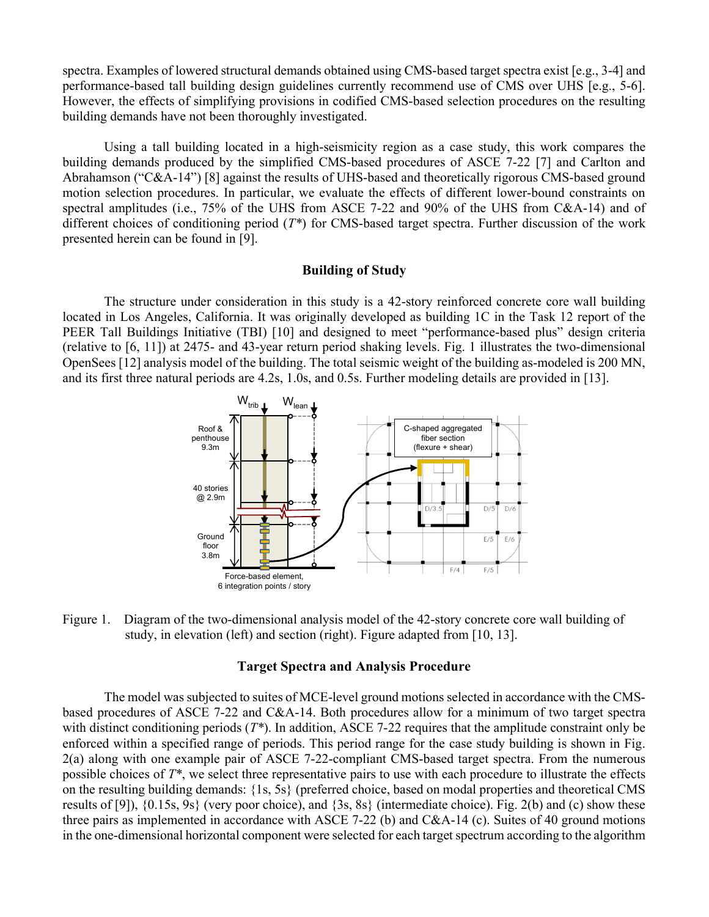spectra. Examples of lowered structural demands obtained using CMS-based target spectra exist [e.g., 3-4] and performance-based tall building design guidelines currently recommend use of CMS over UHS [e.g., 5-6]. However, the effects of simplifying provisions in codified CMS-based selection procedures on the resulting building demands have not been thoroughly investigated.

 Using a tall building located in a high-seismicity region as a case study, this work compares the building demands produced by the simplified CMS-based procedures of ASCE 7-22 [7] and Carlton and Abrahamson ("C&A-14") [8] against the results of UHS-based and theoretically rigorous CMS-based ground motion selection procedures. In particular, we evaluate the effects of different lower-bound constraints on spectral amplitudes (i.e., 75% of the UHS from ASCE 7-22 and 90% of the UHS from C&A-14) and of different choices of conditioning period  $(T^*)$  for CMS-based target spectra. Further discussion of the work presented herein can be found in [9].

# Building of Study

The structure under consideration in this study is a 42-story reinforced concrete core wall building located in Los Angeles, California. It was originally developed as building 1C in the Task 12 report of the PEER Tall Buildings Initiative (TBI) [10] and designed to meet "performance-based plus" design criteria (relative to [6, 11]) at 2475- and 43-year return period shaking levels. Fig. 1 illustrates the two-dimensional OpenSees [12] analysis model of the building. The total seismic weight of the building as-modeled is 200 MN, and its first three natural periods are 4.2s, 1.0s, and 0.5s. Further modeling details are provided in [13].



Figure 1. Diagram of the two-dimensional analysis model of the 42-story concrete core wall building of study, in elevation (left) and section (right). Figure adapted from [10, 13].

#### Target Spectra and Analysis Procedure

The model was subjected to suites of MCE-level ground motions selected in accordance with the CMSbased procedures of ASCE 7-22 and C&A-14. Both procedures allow for a minimum of two target spectra with distinct conditioning periods  $(T^*)$ . In addition, ASCE 7-22 requires that the amplitude constraint only be enforced within a specified range of periods. This period range for the case study building is shown in Fig. 2(a) along with one example pair of ASCE 7-22-compliant CMS-based target spectra. From the numerous possible choices of  $T^*$ , we select three representative pairs to use with each procedure to illustrate the effects on the resulting building demands: {1s, 5s} (preferred choice, based on modal properties and theoretical CMS results of [9]),  $\{0.15s, 9s\}$  (very poor choice), and  $\{3s, 8s\}$  (intermediate choice). Fig. 2(b) and (c) show these three pairs as implemented in accordance with ASCE 7-22 (b) and C&A-14 (c). Suites of 40 ground motions in the one-dimensional horizontal component were selected for each target spectrum according to the algorithm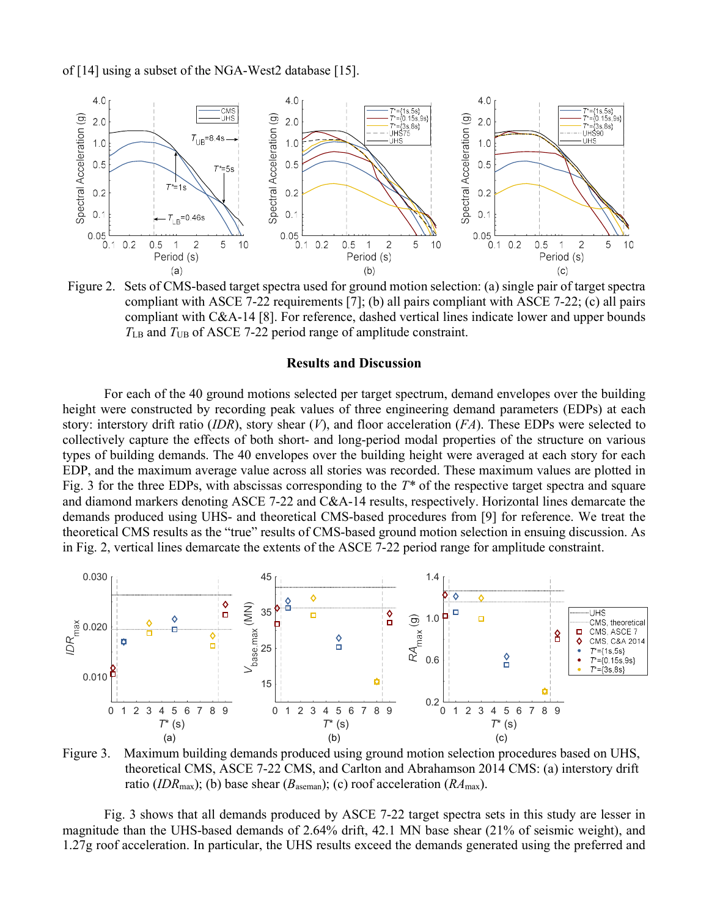of [14] using a subset of the NGA-West2 database [15].



Figure 2. Sets of CMS-based target spectra used for ground motion selection: (a) single pair of target spectra compliant with ASCE 7-22 requirements [7]; (b) all pairs compliant with ASCE 7-22; (c) all pairs compliant with C&A-14 [8]. For reference, dashed vertical lines indicate lower and upper bounds  $T_{LB}$  and  $T_{UB}$  of ASCE 7-22 period range of amplitude constraint.

# Results and Discussion

For each of the 40 ground motions selected per target spectrum, demand envelopes over the building height were constructed by recording peak values of three engineering demand parameters (EDPs) at each story: interstory drift ratio (IDR), story shear (V), and floor acceleration (FA). These EDPs were selected to collectively capture the effects of both short- and long-period modal properties of the structure on various types of building demands. The 40 envelopes over the building height were averaged at each story for each EDP, and the maximum average value across all stories was recorded. These maximum values are plotted in Fig. 3 for the three EDPs, with abscissas corresponding to the  $T^*$  of the respective target spectra and square and diamond markers denoting ASCE 7-22 and C&A-14 results, respectively. Horizontal lines demarcate the demands produced using UHS- and theoretical CMS-based procedures from [9] for reference. We treat the theoretical CMS results as the "true" results of CMS-based ground motion selection in ensuing discussion. As in Fig. 2, vertical lines demarcate the extents of the ASCE 7-22 period range for amplitude constraint.



Figure 3. Maximum building demands produced using ground motion selection procedures based on UHS, theoretical CMS, ASCE 7-22 CMS, and Carlton and Abrahamson 2014 CMS: (a) interstory drift ratio (IDR<sub>max</sub>); (b) base shear ( $B_{\text{aseman}}$ ); (c) roof acceleration ( $RA_{\text{max}}$ ).

 Fig. 3 shows that all demands produced by ASCE 7-22 target spectra sets in this study are lesser in magnitude than the UHS-based demands of 2.64% drift, 42.1 MN base shear (21% of seismic weight), and 1.27g roof acceleration. In particular, the UHS results exceed the demands generated using the preferred and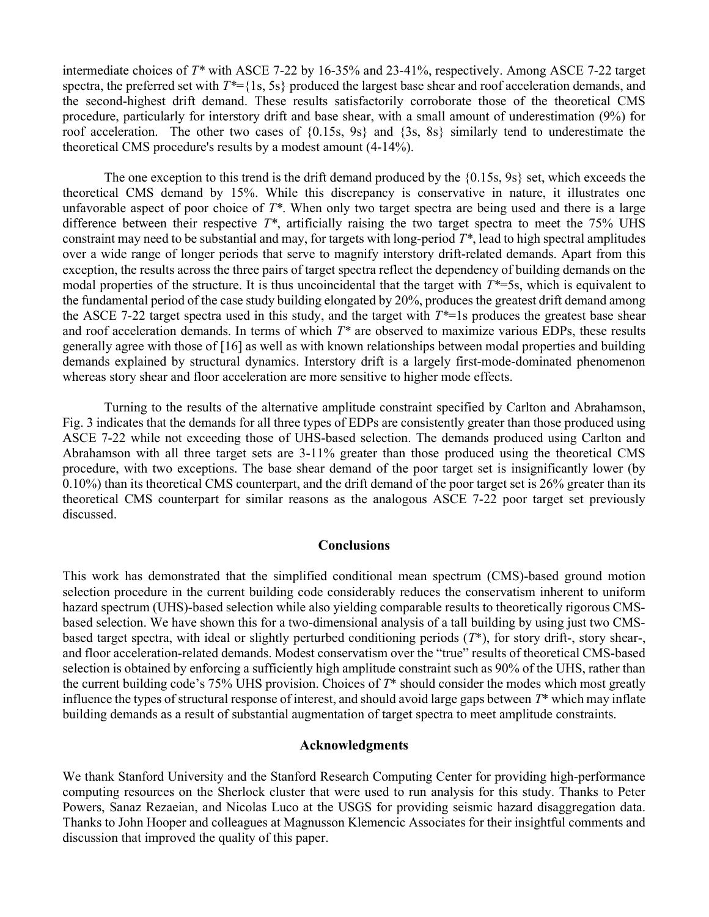intermediate choices of T\* with ASCE 7-22 by 16-35% and 23-41%, respectively. Among ASCE 7-22 target spectra, the preferred set with  $T^*={1s, 5s}$  produced the largest base shear and roof acceleration demands, and the second-highest drift demand. These results satisfactorily corroborate those of the theoretical CMS procedure, particularly for interstory drift and base shear, with a small amount of underestimation (9%) for roof acceleration. The other two cases of {0.15s, 9s} and {3s, 8s} similarly tend to underestimate the theoretical CMS procedure's results by a modest amount (4-14%).

The one exception to this trend is the drift demand produced by the  $\{0.15s, 9s\}$  set, which exceeds the theoretical CMS demand by 15%. While this discrepancy is conservative in nature, it illustrates one unfavorable aspect of poor choice of  $T^*$ . When only two target spectra are being used and there is a large difference between their respective  $T^*$ , artificially raising the two target spectra to meet the 75% UHS constraint may need to be substantial and may, for targets with long-period  $T^*$ , lead to high spectral amplitudes over a wide range of longer periods that serve to magnify interstory drift-related demands. Apart from this exception, the results across the three pairs of target spectra reflect the dependency of building demands on the modal properties of the structure. It is thus uncoincidental that the target with  $T^*=5s$ , which is equivalent to the fundamental period of the case study building elongated by 20%, produces the greatest drift demand among the ASCE 7-22 target spectra used in this study, and the target with  $T^*=1$ s produces the greatest base shear and roof acceleration demands. In terms of which  $T^*$  are observed to maximize various EDPs, these results generally agree with those of [16] as well as with known relationships between modal properties and building demands explained by structural dynamics. Interstory drift is a largely first-mode-dominated phenomenon whereas story shear and floor acceleration are more sensitive to higher mode effects.

Turning to the results of the alternative amplitude constraint specified by Carlton and Abrahamson, Fig. 3 indicates that the demands for all three types of EDPs are consistently greater than those produced using ASCE 7-22 while not exceeding those of UHS-based selection. The demands produced using Carlton and Abrahamson with all three target sets are 3-11% greater than those produced using the theoretical CMS procedure, with two exceptions. The base shear demand of the poor target set is insignificantly lower (by 0.10%) than its theoretical CMS counterpart, and the drift demand of the poor target set is 26% greater than its theoretical CMS counterpart for similar reasons as the analogous ASCE 7-22 poor target set previously discussed.

# **Conclusions**

This work has demonstrated that the simplified conditional mean spectrum (CMS)-based ground motion selection procedure in the current building code considerably reduces the conservatism inherent to uniform hazard spectrum (UHS)-based selection while also yielding comparable results to theoretically rigorous CMSbased selection. We have shown this for a two-dimensional analysis of a tall building by using just two CMSbased target spectra, with ideal or slightly perturbed conditioning periods  $(T^*)$ , for story drift-, story shear-, and floor acceleration-related demands. Modest conservatism over the "true" results of theoretical CMS-based selection is obtained by enforcing a sufficiently high amplitude constraint such as 90% of the UHS, rather than the current building code's 75% UHS provision. Choices of  $T^*$  should consider the modes which most greatly influence the types of structural response of interest, and should avoid large gaps between  $T^*$  which may inflate building demands as a result of substantial augmentation of target spectra to meet amplitude constraints.

# Acknowledgments

We thank Stanford University and the Stanford Research Computing Center for providing high-performance computing resources on the Sherlock cluster that were used to run analysis for this study. Thanks to Peter Powers, Sanaz Rezaeian, and Nicolas Luco at the USGS for providing seismic hazard disaggregation data. Thanks to John Hooper and colleagues at Magnusson Klemencic Associates for their insightful comments and discussion that improved the quality of this paper.